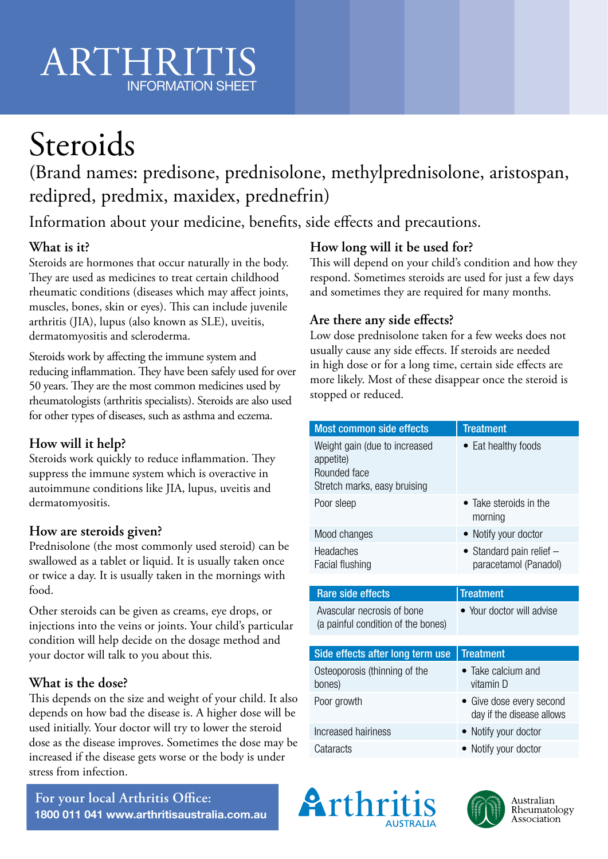# ARTHRITIS INFORMATION SHEET

# **Steroids**

(Brand names: predisone, prednisolone, methylprednisolone, aristospan, redipred, predmix, maxidex, prednefrin)

Information about your medicine, benefits, side effects and precautions.

# **What is it?**

Steroids are hormones that occur naturally in the body. They are used as medicines to treat certain childhood rheumatic conditions (diseases which may affect joints, muscles, bones, skin or eyes). This can include juvenile arthritis (JIA), lupus (also known as SLE), uveitis, dermatomyositis and scleroderma.

Steroids work by affecting the immune system and reducing inflammation. They have been safely used for over 50 years. They are the most common medicines used by rheumatologists (arthritis specialists). Steroids are also used for other types of diseases, such as asthma and eczema.

# **How will it help?**

Steroids work quickly to reduce inflammation. They suppress the immune system which is overactive in autoimmune conditions like JIA, lupus, uveitis and dermatomyositis.

## **How are steroids given?**

Prednisolone (the most commonly used steroid) can be swallowed as a tablet or liquid. It is usually taken once or twice a day. It is usually taken in the mornings with food.

Other steroids can be given as creams, eye drops, or injections into the veins or joints. Your child's particular condition will help decide on the dosage method and your doctor will talk to you about this.

## **What is the dose?**

This depends on the size and weight of your child. It also depends on how bad the disease is. A higher dose will be used initially. Your doctor will try to lower the steroid dose as the disease improves. Sometimes the dose may be increased if the disease gets worse or the body is under stress from infection.

**For your local Arthritis Office: 1800 011 041 www.arthritisaustralia.com.au**

## **How long will it be used for?**

This will depend on your child's condition and how they respond. Sometimes steroids are used for just a few days and sometimes they are required for many months.

## **Are there any side effects?**

Low dose prednisolone taken for a few weeks does not usually cause any side effects. If steroids are needed in high dose or for a long time, certain side effects are more likely. Most of these disappear once the steroid is stopped or reduced.

| <b>Most common side effects</b>                                                            | <b>Treatment</b>                                      |
|--------------------------------------------------------------------------------------------|-------------------------------------------------------|
| Weight gain (due to increased<br>appetite)<br>Rounded face<br>Stretch marks, easy bruising | Eat healthy foods                                     |
| Poor sleep                                                                                 | Take steroids in the<br>$\bullet$<br>morning          |
| Mood changes                                                                               | • Notify your doctor                                  |
| Headaches<br>Facial flushing                                                               | • Standard pain relief $-$<br>paracetamol (Panadol)   |
|                                                                                            |                                                       |
| <b>Rare side effects</b>                                                                   | <b>Treatment</b>                                      |
| Avascular necrosis of bone<br>(a painful condition of the bones)                           | • Your doctor will advise                             |
|                                                                                            | <b>Treatment</b>                                      |
| Side effects after long term use<br>Osteoporosis (thinning of the<br>bones)                | $\bullet$ Take calcium and<br>vitamin D               |
| Poor growth                                                                                | • Give dose every second<br>day if the disease allows |
| Increased hairiness                                                                        | • Notify your doctor                                  |